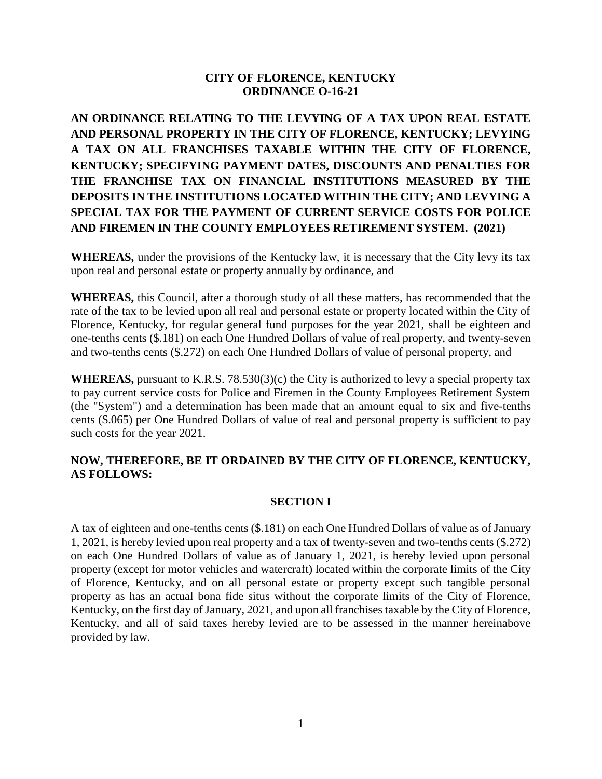## **CITY OF FLORENCE, KENTUCKY ORDINANCE O-16-21**

**AN ORDINANCE RELATING TO THE LEVYING OF A TAX UPON REAL ESTATE AND PERSONAL PROPERTY IN THE CITY OF FLORENCE, KENTUCKY; LEVYING A TAX ON ALL FRANCHISES TAXABLE WITHIN THE CITY OF FLORENCE, KENTUCKY; SPECIFYING PAYMENT DATES, DISCOUNTS AND PENALTIES FOR THE FRANCHISE TAX ON FINANCIAL INSTITUTIONS MEASURED BY THE DEPOSITS IN THE INSTITUTIONS LOCATED WITHIN THE CITY; AND LEVYING A SPECIAL TAX FOR THE PAYMENT OF CURRENT SERVICE COSTS FOR POLICE AND FIREMEN IN THE COUNTY EMPLOYEES RETIREMENT SYSTEM. (2021)**

**WHEREAS,** under the provisions of the Kentucky law, it is necessary that the City levy its tax upon real and personal estate or property annually by ordinance, and

**WHEREAS,** this Council, after a thorough study of all these matters, has recommended that the rate of the tax to be levied upon all real and personal estate or property located within the City of Florence, Kentucky, for regular general fund purposes for the year 2021, shall be eighteen and one-tenths cents (\$.181) on each One Hundred Dollars of value of real property, and twenty-seven and two-tenths cents (\$.272) on each One Hundred Dollars of value of personal property, and

**WHEREAS,** pursuant to K.R.S. 78.530(3)(c) the City is authorized to levy a special property tax to pay current service costs for Police and Firemen in the County Employees Retirement System (the "System") and a determination has been made that an amount equal to six and five-tenths cents (\$.065) per One Hundred Dollars of value of real and personal property is sufficient to pay such costs for the year 2021.

# **NOW, THEREFORE, BE IT ORDAINED BY THE CITY OF FLORENCE, KENTUCKY, AS FOLLOWS:**

### **SECTION I**

A tax of eighteen and one-tenths cents (\$.181) on each One Hundred Dollars of value as of January 1, 2021, is hereby levied upon real property and a tax of twenty-seven and two-tenths cents (\$.272) on each One Hundred Dollars of value as of January 1, 2021, is hereby levied upon personal property (except for motor vehicles and watercraft) located within the corporate limits of the City of Florence, Kentucky, and on all personal estate or property except such tangible personal property as has an actual bona fide situs without the corporate limits of the City of Florence, Kentucky, on the first day of January, 2021, and upon all franchises taxable by the City of Florence, Kentucky, and all of said taxes hereby levied are to be assessed in the manner hereinabove provided by law.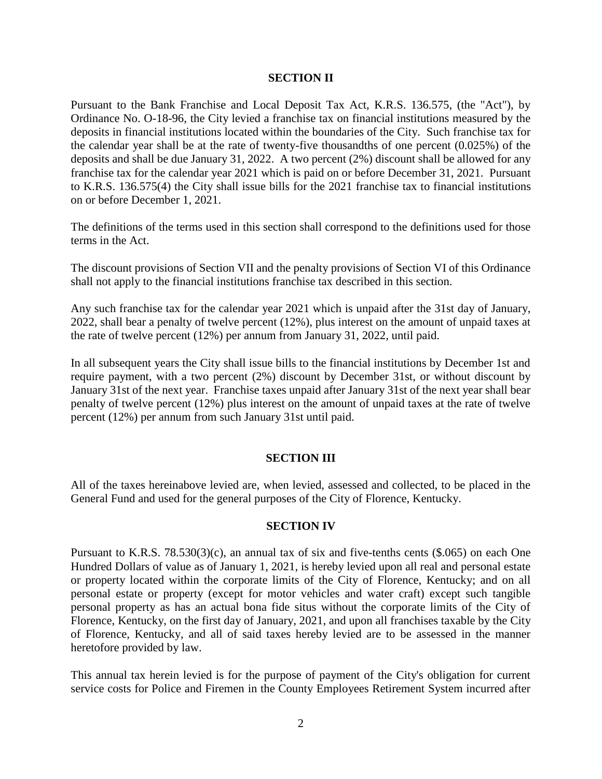#### **SECTION II**

Pursuant to the Bank Franchise and Local Deposit Tax Act, K.R.S. 136.575, (the "Act"), by Ordinance No. O-18-96, the City levied a franchise tax on financial institutions measured by the deposits in financial institutions located within the boundaries of the City. Such franchise tax for the calendar year shall be at the rate of twenty-five thousandths of one percent (0.025%) of the deposits and shall be due January 31, 2022. A two percent (2%) discount shall be allowed for any franchise tax for the calendar year 2021 which is paid on or before December 31, 2021. Pursuant to K.R.S. 136.575(4) the City shall issue bills for the 2021 franchise tax to financial institutions on or before December 1, 2021.

The definitions of the terms used in this section shall correspond to the definitions used for those terms in the Act.

The discount provisions of Section VII and the penalty provisions of Section VI of this Ordinance shall not apply to the financial institutions franchise tax described in this section.

Any such franchise tax for the calendar year 2021 which is unpaid after the 31st day of January, 2022, shall bear a penalty of twelve percent (12%), plus interest on the amount of unpaid taxes at the rate of twelve percent (12%) per annum from January 31, 2022, until paid.

In all subsequent years the City shall issue bills to the financial institutions by December 1st and require payment, with a two percent (2%) discount by December 31st, or without discount by January 31st of the next year. Franchise taxes unpaid after January 31st of the next year shall bear penalty of twelve percent (12%) plus interest on the amount of unpaid taxes at the rate of twelve percent (12%) per annum from such January 31st until paid.

### **SECTION III**

All of the taxes hereinabove levied are, when levied, assessed and collected, to be placed in the General Fund and used for the general purposes of the City of Florence, Kentucky.

#### **SECTION IV**

Pursuant to K.R.S. 78.530(3)(c), an annual tax of six and five-tenths cents (\$.065) on each One Hundred Dollars of value as of January 1, 2021, is hereby levied upon all real and personal estate or property located within the corporate limits of the City of Florence, Kentucky; and on all personal estate or property (except for motor vehicles and water craft) except such tangible personal property as has an actual bona fide situs without the corporate limits of the City of Florence, Kentucky, on the first day of January, 2021, and upon all franchises taxable by the City of Florence, Kentucky, and all of said taxes hereby levied are to be assessed in the manner heretofore provided by law.

This annual tax herein levied is for the purpose of payment of the City's obligation for current service costs for Police and Firemen in the County Employees Retirement System incurred after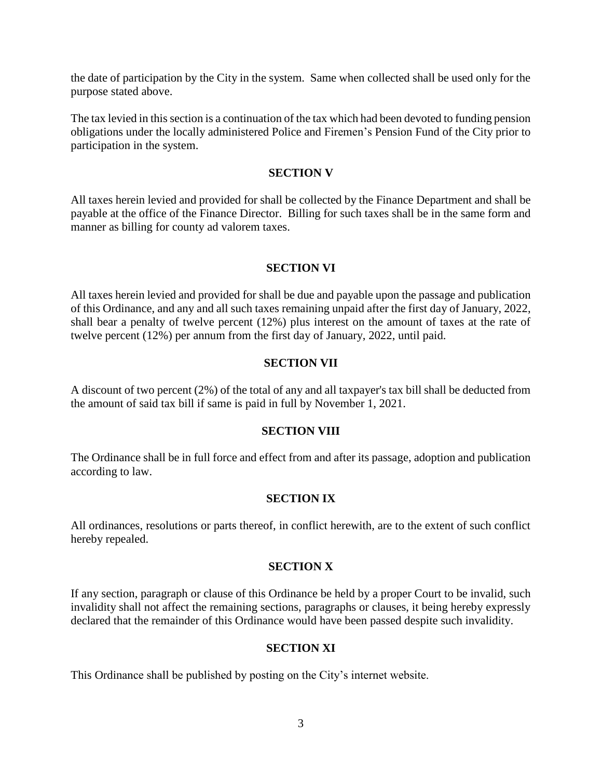the date of participation by the City in the system. Same when collected shall be used only for the purpose stated above.

The tax levied in this section is a continuation of the tax which had been devoted to funding pension obligations under the locally administered Police and Firemen's Pension Fund of the City prior to participation in the system.

### **SECTION V**

All taxes herein levied and provided for shall be collected by the Finance Department and shall be payable at the office of the Finance Director. Billing for such taxes shall be in the same form and manner as billing for county ad valorem taxes.

### **SECTION VI**

All taxes herein levied and provided for shall be due and payable upon the passage and publication of this Ordinance, and any and all such taxes remaining unpaid after the first day of January, 2022, shall bear a penalty of twelve percent (12%) plus interest on the amount of taxes at the rate of twelve percent (12%) per annum from the first day of January, 2022, until paid.

### **SECTION VII**

A discount of two percent (2%) of the total of any and all taxpayer's tax bill shall be deducted from the amount of said tax bill if same is paid in full by November 1, 2021.

### **SECTION VIII**

The Ordinance shall be in full force and effect from and after its passage, adoption and publication according to law.

### **SECTION IX**

All ordinances, resolutions or parts thereof, in conflict herewith, are to the extent of such conflict hereby repealed.

### **SECTION X**

If any section, paragraph or clause of this Ordinance be held by a proper Court to be invalid, such invalidity shall not affect the remaining sections, paragraphs or clauses, it being hereby expressly declared that the remainder of this Ordinance would have been passed despite such invalidity.

### **SECTION XI**

This Ordinance shall be published by posting on the City's internet website.